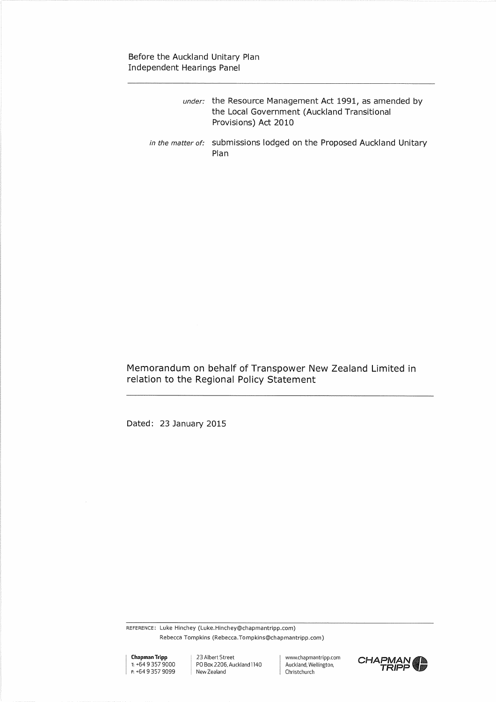# Before the Auckland Unitary Plan Independent Hearings Panel

| <i>under:</i> the Resource Management Act 1991, as amended by |
|---------------------------------------------------------------|
| the Local Government (Auckland Transitional                   |
| Provisions) Act 2010                                          |
|                                                               |

*in the matter of:* submissions lodged on the Proposed Auckland Unitary Plan

Memorandum on behalf of Transpower New Zealand Limited in relation to the Regional Policy Statement

Dated: 23 January 2015

REFERENCE: Luke Hinchey (Luke.Hinchey@chapmantripp.com) Rebecca Tompkins (Rebecca.Tompkins©chapmantripp.com)

**Chapman Tripp**  r: +64 9 357 9000 F. +64 9 357 9099

23 Albert Street PO Box 2206, Auckland1140 New Zealand

www.chapmantripp,com Auckland, Wellington, Christchurch

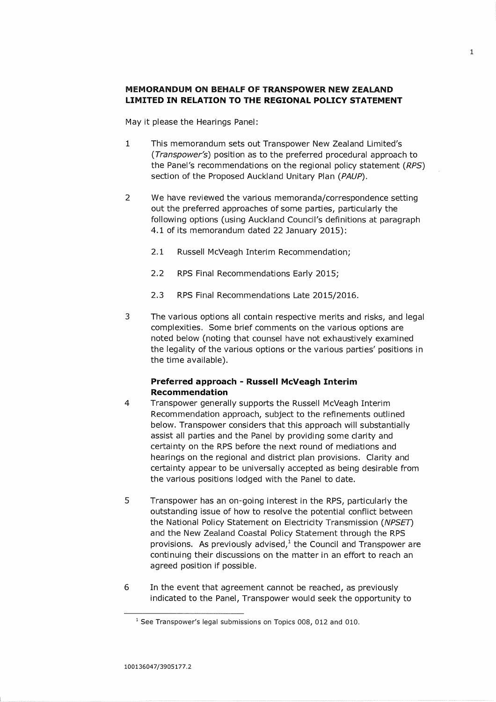## **MEMORANDUM ON BEHALF OF TRANSPOWER NEW ZEALAND LIMITED IN RELATION TO THE REGIONAL POLICY STATEMENT**

May it please the Hearings Panel:

- 1 This memorandum sets out Transpower New Zealand Limited's *(Transpower's)* position as to the preferred procedural approach to the Panel's recommendations on the regional policy statement *(RPS)*  section of the Proposed Auckland Unitary Plan *(PAUP).*
- 2 We have reviewed the various memoranda/correspondence setting out the preferred approaches of some parties, particularly the following options (using Auckland Council's definitions at paragraph 4.1 of its memorandum dated 22 January 2015):
	- 2.1 Russell McVeagh Interim Recommendation;
	- 2.2 RPS Final Recommendations Early 2015;
	- 2.3 RPS Final Recommendations Late 2015/2016.
- 3 The various options all contain respective merits and risks, and legal complexities. Some brief comments on the various options are noted below (noting that counsel have not exhaustively examined the legality of the various options or the various parties' positions in the time available).

### **Preferred approach - Russell McVeagh Interim Recommendation**

- 4 Transpower generally supports the Russell McVeagh Interim Recommendation approach, subject to the refinements outlined below. Transpower considers that this approach will substantially assist all parties and the Panel by providing some clarity and certainty on the RPS before the next round of mediations and hearings on the regional and district plan provisions. Clarity and certainty appear to be universally accepted as being desirable from the various positions lodged with the Panel to date.
- 5 Transpower has an on-going interest in the RPS, particularly the outstanding issue of how to resolve the potential conflict between the National Policy Statement on Electricity Transmission *(NPSE7)*  and the New Zealand Coastal Policy Statement through the RPS provisions. As previously advised, $1$  the Council and Transpower are continuing their discussions on the matter in an effort to reach an agreed position if possible.
- 6 In the event that agreement cannot be reached, as previously indicated to the Panel, Transpower would seek the opportunity to

<sup>&</sup>lt;sup>1</sup> See Transpower's legal submissions on Topics 008, 012 and 010.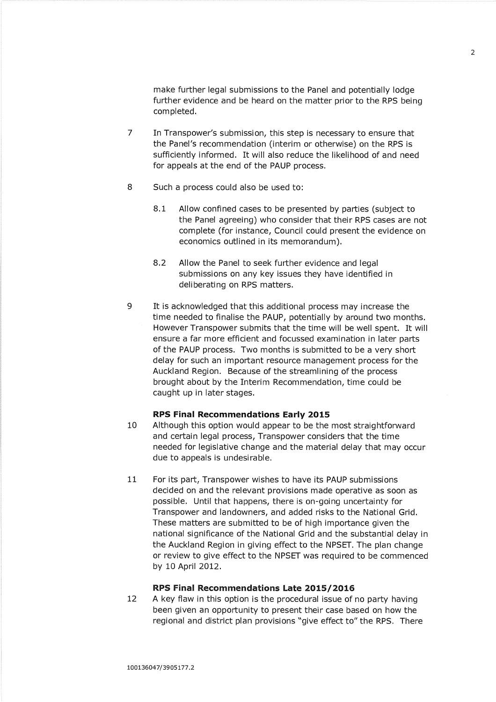make further legal submissions to the Panel and potentially lodge further evidence and be heard on the matter prior to the RPS being completed.

- 7 In Transpower's submission, this step is necessary to ensure that the Panel's recommendation (interim or otherwise) on the RPS is sufficiently informed. It will also reduce the likelihood of and need for appeals at the end of the PAUP process.
- 8 Such a process could also be used to:
	- 8.1 Allow confined cases to be presented by parties (subject to the Panel agreeing) who consider that their RPS cases are not complete (for instance, Council could present the evidence on economics outlined in its memorandum).
	- 8.2 Allow the Panel to seek further evidence and legal submissions on any key issues they have identified in deliberating on RPS matters.
- 9 It is acknowledged that this additional process may increase the time needed to finalise the PAUP, potentially by around two months. However Transpower submits that the time will be well spent. It will ensure a far more efficient and focussed examination in later parts of the PAUP process. Two months is submitted to be a very short delay for such an important resource management process for the Auckland Region. Because of the streamlining of the process brought about by the Interim Recommendation, time could be caught up in later stages.

#### :IPS **Final Recommendations Early 2015**

- 10 Although this option would appear to be the most straightforward and certain legal process, Transpower considers that the time needed for legislative change and the material delay that may occur due to appeals is undesirable.
- 11 For its part, Transpower wishes to have its PAUP submissions decided on and the relevant provisions made operative as soon as possible. Until that happens, there is on-going uncertainty for Transpower and landowners, and added risks to the National Grid. These matters are submitted to be of high importance given the national significance of the National Grid and the substantial delay in the Auckland Region in giving effect to the NPSET. The plan change or review to give effect to the NPSET was required to be commenced by 10 April 2012.

### **rzps Final** *Recommendations* **Late 2015/2016**

12 A key flaw in this option is the procedural issue of no party having been given an opportunity to present their case based on how the regional and district plan provisions "give effect to" the RPS. There